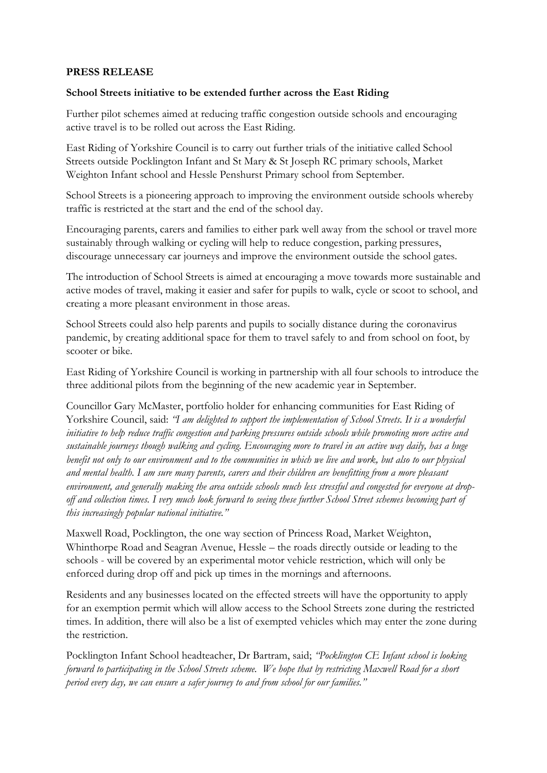## **PRESS RELEASE**

## **School Streets initiative to be extended further across the East Riding**

Further pilot schemes aimed at reducing traffic congestion outside schools and encouraging active travel is to be rolled out across the East Riding.

East Riding of Yorkshire Council is to carry out further trials of the initiative called School Streets outside Pocklington Infant and St Mary & St Joseph RC primary schools, Market Weighton Infant school and Hessle Penshurst Primary school from September.

School Streets is a pioneering approach to improving the environment outside schools whereby traffic is restricted at the start and the end of the school day.

Encouraging parents, carers and families to either park well away from the school or travel more sustainably through walking or cycling will help to reduce congestion, parking pressures, discourage unnecessary car journeys and improve the environment outside the school gates.

The introduction of School Streets is aimed at encouraging a move towards more sustainable and active modes of travel, making it easier and safer for pupils to walk, cycle or scoot to school, and creating a more pleasant environment in those areas.

School Streets could also help parents and pupils to socially distance during the coronavirus pandemic, by creating additional space for them to travel safely to and from school on foot, by scooter or bike.

East Riding of Yorkshire Council is working in partnership with all four schools to introduce the three additional pilots from the beginning of the new academic year in September.

Councillor Gary McMaster, portfolio holder for enhancing communities for East Riding of Yorkshire Council, said: *"I am delighted to support the implementation of School Streets. It is a wonderful initiative to help reduce traffic congestion and parking pressures outside schools while promoting more active and sustainable journeys though walking and cycling. Encouraging more to travel in an active way daily, has a huge benefit not only to our environment and to the communities in which we live and work, but also to our physical and mental health. I am sure many parents, carers and their children are benefitting from a more pleasant environment, and generally making the area outside schools much less stressful and congested for everyone at dropoff and collection times. I very much look forward to seeing these further School Street schemes becoming part of this increasingly popular national initiative."*

Maxwell Road, Pocklington, the one way section of Princess Road, Market Weighton, Whinthorpe Road and Seagran Avenue, Hessle – the roads directly outside or leading to the schools - will be covered by an experimental motor vehicle restriction, which will only be enforced during drop off and pick up times in the mornings and afternoons.

Residents and any businesses located on the effected streets will have the opportunity to apply for an exemption permit which will allow access to the School Streets zone during the restricted times. In addition, there will also be a list of exempted vehicles which may enter the zone during the restriction.

Pocklington Infant School headteacher, Dr Bartram, said; *"Pocklington CE Infant school is looking forward to participating in the School Streets scheme. We hope that by restricting Maxwell Road for a short period every day, we can ensure a safer journey to and from school for our families."*